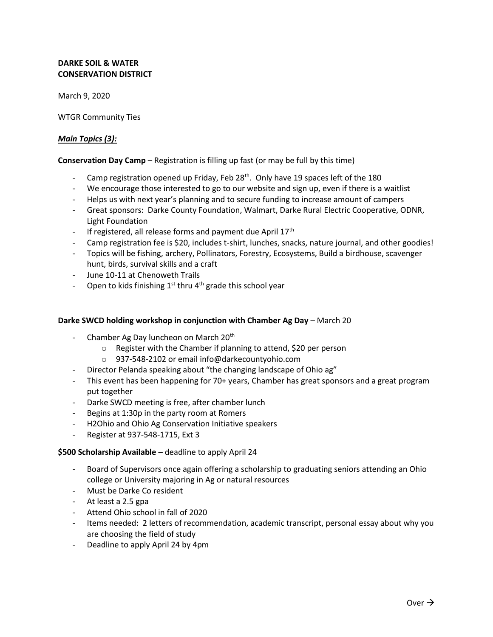# **DARKE SOIL & WATER CONSERVATION DISTRICT**

March 9, 2020

WTGR Community Ties

## *Main Topics (3):*

## **Conservation Day Camp** – Registration is filling up fast (or may be full by this time)

- Camp registration opened up Friday, Feb 28<sup>th</sup>. Only have 19 spaces left of the 180
- We encourage those interested to go to our website and sign up, even if there is a waitlist
- Helps us with next year's planning and to secure funding to increase amount of campers
- Great sponsors: Darke County Foundation, Walmart, Darke Rural Electric Cooperative, ODNR, Light Foundation
- If registered, all release forms and payment due April  $17<sup>th</sup>$
- Camp registration fee is \$20, includes t-shirt, lunches, snacks, nature journal, and other goodies!
- Topics will be fishing, archery, Pollinators, Forestry, Ecosystems, Build a birdhouse, scavenger hunt, birds, survival skills and a craft
- June 10-11 at Chenoweth Trails
- Open to kids finishing  $1^{st}$  thru  $4^{th}$  grade this school year

#### **Darke SWCD holding workshop in conjunction with Chamber Ag Day** – March 20

- Chamber Ag Day luncheon on March 20<sup>th</sup>
	- o Register with the Chamber if planning to attend, \$20 per person
	- o 937-548-2102 or email info@darkecountyohio.com
- Director Pelanda speaking about "the changing landscape of Ohio ag"
- This event has been happening for 70+ years, Chamber has great sponsors and a great program put together
- Darke SWCD meeting is free, after chamber lunch
- Begins at 1:30p in the party room at Romers
- H2Ohio and Ohio Ag Conservation Initiative speakers
- Register at 937-548-1715, Ext 3

#### **\$500 Scholarship Available** – deadline to apply April 24

- Board of Supervisors once again offering a scholarship to graduating seniors attending an Ohio college or University majoring in Ag or natural resources
- Must be Darke Co resident
- At least a 2.5 gpa
- Attend Ohio school in fall of 2020
- Items needed: 2 letters of recommendation, academic transcript, personal essay about why you are choosing the field of study
- Deadline to apply April 24 by 4pm